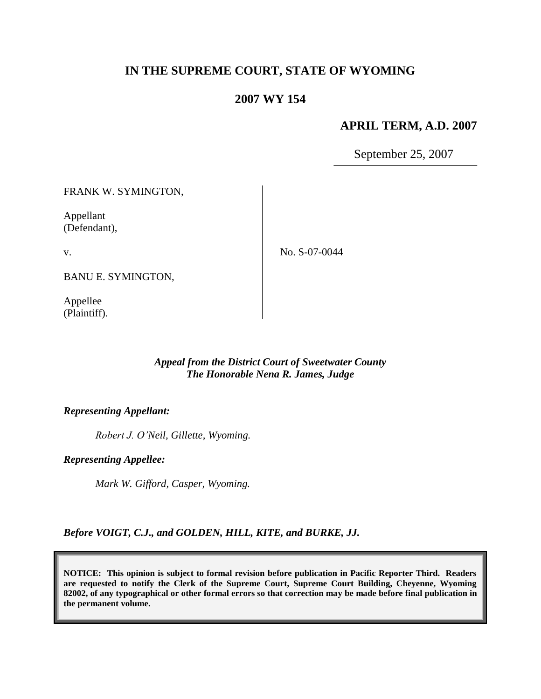# **IN THE SUPREME COURT, STATE OF WYOMING**

# **2007 WY 154**

### **APRIL TERM, A.D. 2007**

September 25, 2007

FRANK W. SYMINGTON,

Appellant (Defendant),

v.

No. S-07-0044

BANU E. SYMINGTON,

Appellee (Plaintiff).

### *Appeal from the District Court of Sweetwater County The Honorable Nena R. James, Judge*

#### *Representing Appellant:*

*Robert J. O'Neil, Gillette, Wyoming.*

*Representing Appellee:*

*Mark W. Gifford, Casper, Wyoming.*

*Before VOIGT, C.J., and GOLDEN, HILL, KITE, and BURKE, JJ.*

**NOTICE: This opinion is subject to formal revision before publication in Pacific Reporter Third. Readers are requested to notify the Clerk of the Supreme Court, Supreme Court Building, Cheyenne, Wyoming 82002, of any typographical or other formal errors so that correction may be made before final publication in the permanent volume.**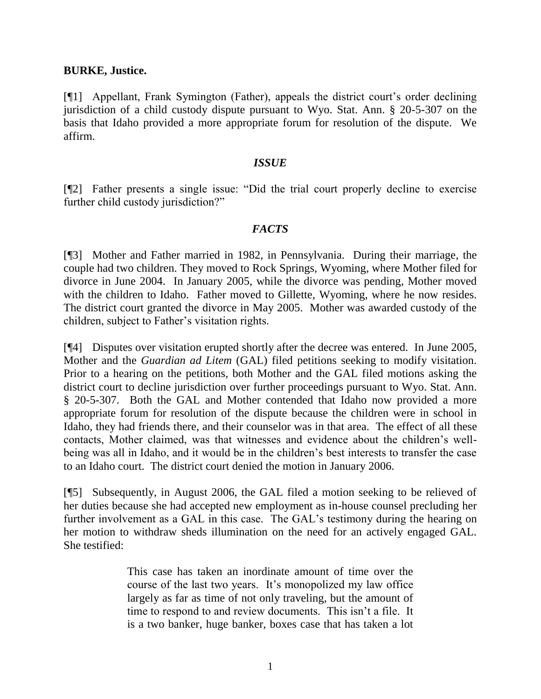#### **BURKE, Justice.**

[¶1] Appellant, Frank Symington (Father), appeals the district court's order declining jurisdiction of a child custody dispute pursuant to Wyo. Stat. Ann. § 20-5-307 on the basis that Idaho provided a more appropriate forum for resolution of the dispute. We affirm.

#### *ISSUE*

[¶2] Father presents a single issue: "Did the trial court properly decline to exercise further child custody jurisdiction?"

#### *FACTS*

[¶3] Mother and Father married in 1982, in Pennsylvania. During their marriage, the couple had two children. They moved to Rock Springs, Wyoming, where Mother filed for divorce in June 2004. In January 2005, while the divorce was pending, Mother moved with the children to Idaho. Father moved to Gillette, Wyoming, where he now resides. The district court granted the divorce in May 2005. Mother was awarded custody of the children, subject to Father's visitation rights.

[¶4] Disputes over visitation erupted shortly after the decree was entered. In June 2005, Mother and the *Guardian ad Litem* (GAL) filed petitions seeking to modify visitation. Prior to a hearing on the petitions, both Mother and the GAL filed motions asking the district court to decline jurisdiction over further proceedings pursuant to Wyo. Stat. Ann. § 20-5-307. Both the GAL and Mother contended that Idaho now provided a more appropriate forum for resolution of the dispute because the children were in school in Idaho, they had friends there, and their counselor was in that area. The effect of all these contacts, Mother claimed, was that witnesses and evidence about the children's wellbeing was all in Idaho, and it would be in the children's best interests to transfer the case to an Idaho court. The district court denied the motion in January 2006.

[¶5] Subsequently, in August 2006, the GAL filed a motion seeking to be relieved of her duties because she had accepted new employment as in-house counsel precluding her further involvement as a GAL in this case. The GAL's testimony during the hearing on her motion to withdraw sheds illumination on the need for an actively engaged GAL. She testified:

> This case has taken an inordinate amount of time over the course of the last two years. It's monopolized my law office largely as far as time of not only traveling, but the amount of time to respond to and review documents. This isn't a file. It is a two banker, huge banker, boxes case that has taken a lot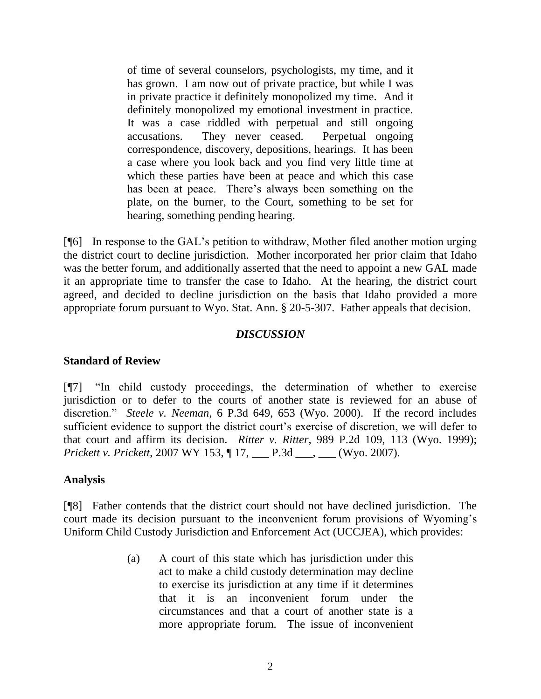of time of several counselors, psychologists, my time, and it has grown. I am now out of private practice, but while I was in private practice it definitely monopolized my time. And it definitely monopolized my emotional investment in practice. It was a case riddled with perpetual and still ongoing accusations. They never ceased. Perpetual ongoing correspondence, discovery, depositions, hearings. It has been a case where you look back and you find very little time at which these parties have been at peace and which this case has been at peace. There's always been something on the plate, on the burner, to the Court, something to be set for hearing, something pending hearing.

[¶6] In response to the GAL's petition to withdraw, Mother filed another motion urging the district court to decline jurisdiction. Mother incorporated her prior claim that Idaho was the better forum, and additionally asserted that the need to appoint a new GAL made it an appropriate time to transfer the case to Idaho. At the hearing, the district court agreed, and decided to decline jurisdiction on the basis that Idaho provided a more appropriate forum pursuant to Wyo. Stat. Ann. § 20-5-307. Father appeals that decision.

### *DISCUSSION*

### **Standard of Review**

[¶7] "In child custody proceedings, the determination of whether to exercise jurisdiction or to defer to the courts of another state is reviewed for an abuse of discretion." *Steele v. Neeman*, 6 P.3d 649, 653 (Wyo. 2000). If the record includes sufficient evidence to support the district court's exercise of discretion, we will defer to that court and affirm its decision. *Ritter v. Ritter*, 989 P.2d 109, 113 (Wyo. 1999); *Prickett v. Prickett*, 2007 WY 153, ¶ 17, \_\_\_ P.3d \_\_\_, \_\_\_ (Wyo. 2007).

# **Analysis**

[¶8] Father contends that the district court should not have declined jurisdiction. The court made its decision pursuant to the inconvenient forum provisions of Wyoming's Uniform Child Custody Jurisdiction and Enforcement Act (UCCJEA), which provides:

> (a) A court of this state which has jurisdiction under this act to make a child custody determination may decline to exercise its jurisdiction at any time if it determines that it is an inconvenient forum under the circumstances and that a court of another state is a more appropriate forum. The issue of inconvenient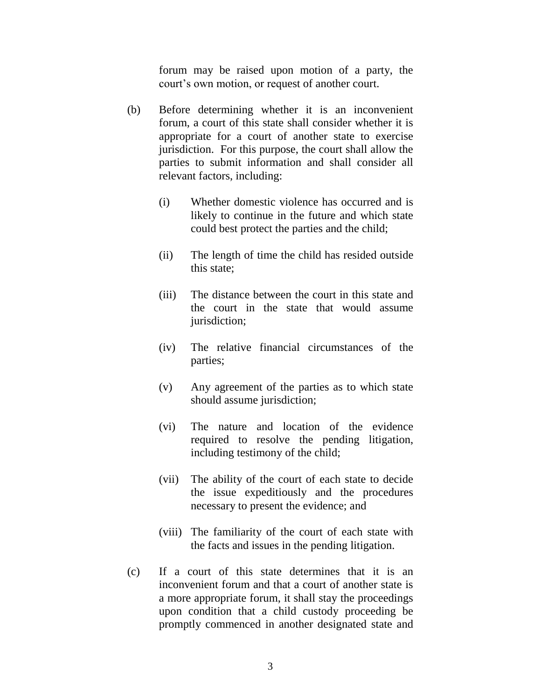forum may be raised upon motion of a party, the court's own motion, or request of another court.

- (b) Before determining whether it is an inconvenient forum, a court of this state shall consider whether it is appropriate for a court of another state to exercise jurisdiction. For this purpose, the court shall allow the parties to submit information and shall consider all relevant factors, including:
	- (i) Whether domestic violence has occurred and is likely to continue in the future and which state could best protect the parties and the child;
	- (ii) The length of time the child has resided outside this state;
	- (iii) The distance between the court in this state and the court in the state that would assume jurisdiction;
	- (iv) The relative financial circumstances of the parties;
	- (v) Any agreement of the parties as to which state should assume jurisdiction;
	- (vi) The nature and location of the evidence required to resolve the pending litigation, including testimony of the child;
	- (vii) The ability of the court of each state to decide the issue expeditiously and the procedures necessary to present the evidence; and
	- (viii) The familiarity of the court of each state with the facts and issues in the pending litigation.
- (c) If a court of this state determines that it is an inconvenient forum and that a court of another state is a more appropriate forum, it shall stay the proceedings upon condition that a child custody proceeding be promptly commenced in another designated state and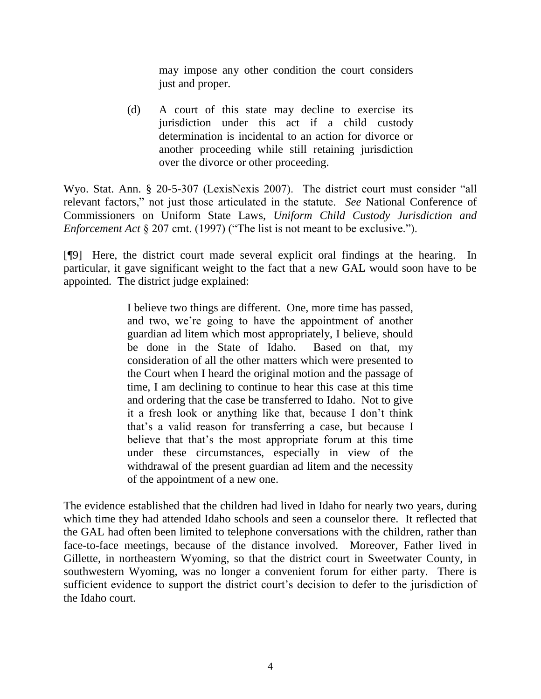may impose any other condition the court considers just and proper.

(d) A court of this state may decline to exercise its jurisdiction under this act if a child custody determination is incidental to an action for divorce or another proceeding while still retaining jurisdiction over the divorce or other proceeding.

Wyo. Stat. Ann. § 20-5-307 (LexisNexis 2007). The district court must consider "all relevant factors," not just those articulated in the statute. *See* National Conference of Commissioners on Uniform State Laws, *Uniform Child Custody Jurisdiction and Enforcement Act* § 207 cmt. (1997) ("The list is not meant to be exclusive.").

[¶9] Here, the district court made several explicit oral findings at the hearing. In particular, it gave significant weight to the fact that a new GAL would soon have to be appointed. The district judge explained:

> I believe two things are different. One, more time has passed, and two, we're going to have the appointment of another guardian ad litem which most appropriately, I believe, should be done in the State of Idaho. Based on that, my consideration of all the other matters which were presented to the Court when I heard the original motion and the passage of time, I am declining to continue to hear this case at this time and ordering that the case be transferred to Idaho. Not to give it a fresh look or anything like that, because I don't think that's a valid reason for transferring a case, but because I believe that that's the most appropriate forum at this time under these circumstances, especially in view of the withdrawal of the present guardian ad litem and the necessity of the appointment of a new one.

The evidence established that the children had lived in Idaho for nearly two years, during which time they had attended Idaho schools and seen a counselor there. It reflected that the GAL had often been limited to telephone conversations with the children, rather than face-to-face meetings, because of the distance involved. Moreover, Father lived in Gillette, in northeastern Wyoming, so that the district court in Sweetwater County, in southwestern Wyoming, was no longer a convenient forum for either party. There is sufficient evidence to support the district court's decision to defer to the jurisdiction of the Idaho court.